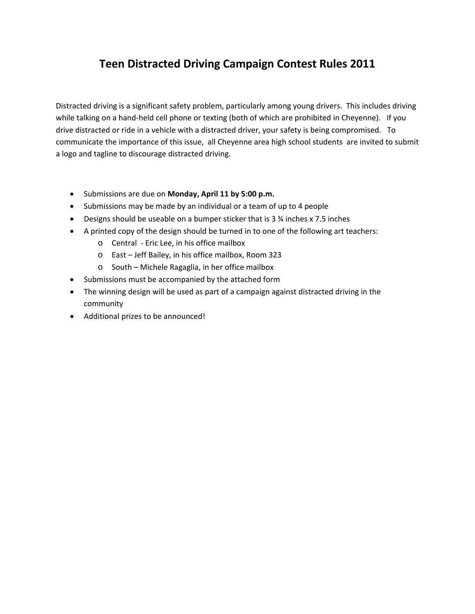## **Teen Distracted Driving Campaign Contest Rules 2011**

Distracted driving is a significant safety problem, particularly among young drivers. This includes driving while talking on a hand-held cell phone or texting (both of which are prohibited in Cheyenne). If you drive distracted or ride in a vehicle with a distracted driver, your safety is being compromised. To communicate the importance of this issue, all Cheyenne area high school students are invited to submit a logo and tagline to discourage distracted driving.

- Submissions are due on **Monday, April 11 by 5:00 p.m.**
- Submissions may be made by an individual or a team of up to 4 people
- Designs should be useable on a bumper sticker that is 3 ¾ inches x 7.5 inches
- A printed copy of the design should be turned in to one of the following art teachers:
	- o Central ‐ Eric Lee, in his office mailbox
	- o East Jeff Bailey, in his office mailbox, Room 323
	- o South Michele Ragaglia, in her office mailbox
- Submissions must be accompanied by the attached form
- The winning design will be used as part of a campaign against distracted driving in the community
- Additional prizes to be announced!